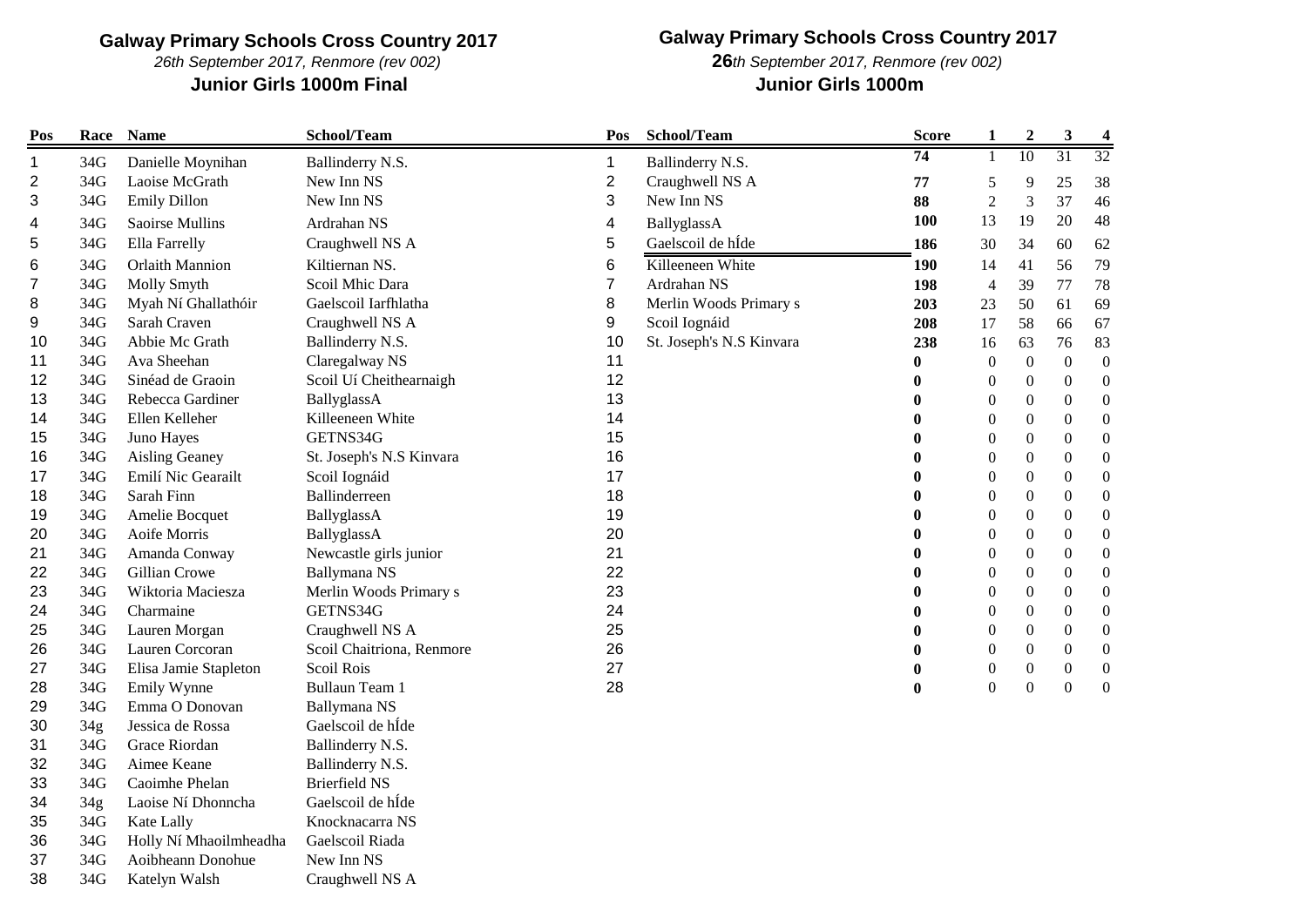*26th September 2017, Renmore (rev 002)*

### **Junior Girls 1000m Final Junior Girls 1000m**

**Galway Primary Schools Cross Country 2017**

*th September 2017, Renmore (rev 002)*

| Pos | Race            | <b>Name</b>            | School/Team               | Pos            | School/Team              | <b>Score</b>     | $\mathbf{1}$     | $\boldsymbol{2}$ | $\mathbf{3}$     | $\overline{\mathbf{4}}$ |
|-----|-----------------|------------------------|---------------------------|----------------|--------------------------|------------------|------------------|------------------|------------------|-------------------------|
| 1   | 34G             | Danielle Moynihan      | Ballinderry N.S.          | 1              | Ballinderry N.S.         | 74               | 1                | 10               | 31               | 32                      |
| 2   | 34G             | Laoise McGrath         | New Inn NS                | $\overline{2}$ | Craughwell NS A          | 77               | 5                | 9                | 25               | 38                      |
| 3   | 34G             | <b>Emily Dillon</b>    | New Inn NS                | 3              | New Inn NS               | 88               | $\mathfrak{2}$   | 3                | 37               | 46                      |
| 4   | 34G             | Saoirse Mullins        | Ardrahan NS               | 4              | BallyglassA              | 100              | 13               | 19               | 20               | 48                      |
| 5   | 34G             | Ella Farrelly          | Craughwell NS A           | 5              | Gaelscoil de hÍde        | 186              | 30               | 34               | 60               | 62                      |
| 6   | 34G             | <b>Orlaith Mannion</b> | Kiltiernan NS.            | 6              | Killeeneen White         | <b>190</b>       | 14               | 41               | 56               | 79                      |
| 7   | 34G             | Molly Smyth            | Scoil Mhic Dara           | $\overline{7}$ | Ardrahan NS              | 198              | $\overline{4}$   | 39               | 77               | 78                      |
| 8   | 34G             | Myah Ní Ghallathóir    | Gaelscoil Iarfhlatha      | 8              | Merlin Woods Primary s   | 203              | 23               | 50               | 61               | 69                      |
| 9   | 34G             | Sarah Craven           | Craughwell NS A           | 9              | Scoil Iognáid            | 208              | 17               | 58               | 66               | 67                      |
| 10  | 34G             | Abbie Mc Grath         | Ballinderry N.S.          | 10             | St. Joseph's N.S Kinvara | 238              | 16               | 63               | 76               | 83                      |
| 11  | 34G             | Ava Sheehan            | Claregalway NS            | 11             |                          | $\boldsymbol{0}$ | $\boldsymbol{0}$ | $\boldsymbol{0}$ | $\boldsymbol{0}$ | $\boldsymbol{0}$        |
| 12  | 34G             | Sinéad de Graoin       | Scoil Uí Cheithearnaigh   | 12             |                          | $\bf{0}$         | $\boldsymbol{0}$ | $\boldsymbol{0}$ | $\boldsymbol{0}$ | $\boldsymbol{0}$        |
| 13  | 34G             | Rebecca Gardiner       | BallyglassA               | 13             |                          | $\boldsymbol{0}$ | $\boldsymbol{0}$ | $\boldsymbol{0}$ | $\boldsymbol{0}$ | $\boldsymbol{0}$        |
| 14  | 34G             | Ellen Kelleher         | Killeeneen White          | 14             |                          | $\bf{0}$         | $\mathbf{0}$     | $\boldsymbol{0}$ | $\mathbf{0}$     | $\boldsymbol{0}$        |
| 15  | 34G             | Juno Hayes             | GETNS34G                  | 15             |                          | $\bf{0}$         | $\boldsymbol{0}$ | $\boldsymbol{0}$ | $\boldsymbol{0}$ | $\boldsymbol{0}$        |
| 16  | 34G             | Aisling Geaney         | St. Joseph's N.S Kinvara  | 16             |                          | $\bf{0}$         | $\boldsymbol{0}$ | $\boldsymbol{0}$ | $\boldsymbol{0}$ | $\boldsymbol{0}$        |
| 17  | 34G             | Emilí Nic Gearailt     | Scoil Iognáid             | 17             |                          | $\bf{0}$         | $\boldsymbol{0}$ | $\boldsymbol{0}$ | $\boldsymbol{0}$ | $\boldsymbol{0}$        |
| 18  | 34G             | Sarah Finn             | Ballinderreen             | 18             |                          | $\bf{0}$         | $\mathbf{0}$     | $\theta$         | $\mathbf{0}$     | $\boldsymbol{0}$        |
| 19  | 34G             | Amelie Bocquet         | BallyglassA               | 19             |                          | $\bf{0}$         | $\boldsymbol{0}$ | $\boldsymbol{0}$ | $\boldsymbol{0}$ | $\boldsymbol{0}$        |
| 20  | 34G             | Aoife Morris           | BallyglassA               | 20             |                          | $\boldsymbol{0}$ | $\boldsymbol{0}$ | $\boldsymbol{0}$ | $\boldsymbol{0}$ | $\boldsymbol{0}$        |
| 21  | 34G             | Amanda Conway          | Newcastle girls junior    | 21             |                          | $\boldsymbol{0}$ | $\boldsymbol{0}$ | $\boldsymbol{0}$ | $\boldsymbol{0}$ | $\boldsymbol{0}$        |
| 22  | 34G             | Gillian Crowe          | Ballymana NS              | 22             |                          | $\bf{0}$         | 0                | $\boldsymbol{0}$ | $\boldsymbol{0}$ | $\boldsymbol{0}$        |
| 23  | 34G             | Wiktoria Maciesza      | Merlin Woods Primary s    | 23             |                          | $\bf{0}$         | $\boldsymbol{0}$ | $\boldsymbol{0}$ | $\boldsymbol{0}$ | $\boldsymbol{0}$        |
| 24  | 34G             | Charmaine              | GETNS34G                  | 24             |                          | $\bf{0}$         | $\mathbf{0}$     | $\boldsymbol{0}$ | $\boldsymbol{0}$ | $\boldsymbol{0}$        |
| 25  | 34G             | Lauren Morgan          | Craughwell NS A           | 25             |                          | $\bf{0}$         | $\boldsymbol{0}$ | $\boldsymbol{0}$ | $\boldsymbol{0}$ | $\boldsymbol{0}$        |
| 26  | 34G             | Lauren Corcoran        | Scoil Chaitriona, Renmore | 26             |                          | $\bf{0}$         | $\mathbf{0}$     | $\overline{0}$   | $\mathbf{0}$     | $\boldsymbol{0}$        |
| 27  | 34G             | Elisa Jamie Stapleton  | Scoil Rois                | 27             |                          | $\boldsymbol{0}$ | $\boldsymbol{0}$ | $\overline{0}$   | $\boldsymbol{0}$ | $\boldsymbol{0}$        |
| 28  | 34G             | Emily Wynne            | Bullaun Team 1            | 28             |                          | $\bf{0}$         | $\boldsymbol{0}$ | $\overline{0}$   | $\boldsymbol{0}$ | $\boldsymbol{0}$        |
| 29  | 34G             | Emma O Donovan         | Ballymana NS              |                |                          |                  |                  |                  |                  |                         |
| 30  | 34g             | Jessica de Rossa       | Gaelscoil de hÍde         |                |                          |                  |                  |                  |                  |                         |
| 31  | 34G             | Grace Riordan          | Ballinderry N.S.          |                |                          |                  |                  |                  |                  |                         |
| 32  | 34G             | Aimee Keane            | Ballinderry N.S.          |                |                          |                  |                  |                  |                  |                         |
| 33  | 34G             | Caoimhe Phelan         | <b>Brierfield NS</b>      |                |                          |                  |                  |                  |                  |                         |
| 34  | 34 <sub>g</sub> | Laoise Ní Dhonncha     | Gaelscoil de hÍde         |                |                          |                  |                  |                  |                  |                         |
| 35  | 34G             | Kate Lally             | Knocknacarra NS           |                |                          |                  |                  |                  |                  |                         |
| 36  | 34G             | Holly Ní Mhaoilmheadha | Gaelscoil Riada           |                |                          |                  |                  |                  |                  |                         |
| 37  | 34G             | Aoibheann Donohue      | New Inn NS                |                |                          |                  |                  |                  |                  |                         |
| 38  | 34G             | Katelyn Walsh          | Craughwell NS A           |                |                          |                  |                  |                  |                  |                         |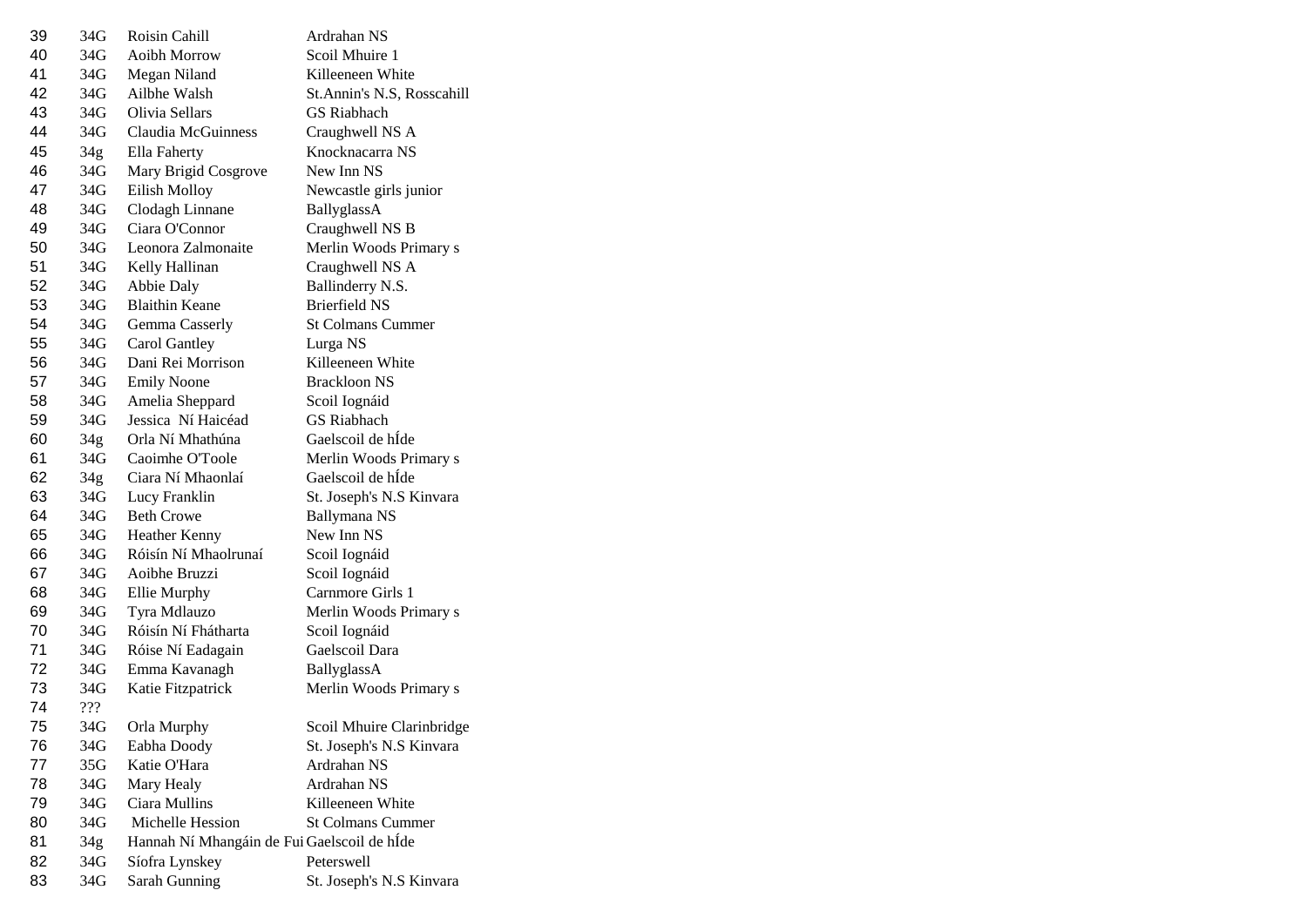| 39 | 34G             | Roisin Cahill                               | Ardrahan NS                 |
|----|-----------------|---------------------------------------------|-----------------------------|
| 40 | 34G             | Aoibh Morrow                                | Scoil Mhuire 1              |
| 41 | 34G             | Megan Niland                                | Killeeneen White            |
| 42 | 34G             | Ailbhe Walsh                                | St. Annin's N.S, Rosscahill |
| 43 | 34G             | Olivia Sellars                              | <b>GS</b> Riabhach          |
| 44 | 34G             | Claudia McGuinness                          | Craughwell NS A             |
| 45 | 34g             | Ella Faherty                                | Knocknacarra NS             |
| 46 | 34G             | Mary Brigid Cosgrove                        | New Inn NS                  |
| 47 | 34G             | Eilish Molloy                               | Newcastle girls junior      |
| 48 | 34G             | Clodagh Linnane                             | BallyglassA                 |
| 49 | 34G             | Ciara O'Connor                              | Craughwell NS B             |
| 50 | 34G             | Leonora Zalmonaite                          | Merlin Woods Primary s      |
| 51 | 34G             | Kelly Hallinan                              | Craughwell NS A             |
| 52 | 34G             | Abbie Daly                                  | Ballinderry N.S.            |
| 53 | 34G             | <b>Blaithin Keane</b>                       | <b>Brierfield NS</b>        |
| 54 | 34G             | Gemma Casserly                              | <b>St Colmans Cummer</b>    |
| 55 | 34G             | Carol Gantley                               | Lurga NS                    |
| 56 | 34G             | Dani Rei Morrison                           | Killeeneen White            |
| 57 | 34G             | <b>Emily Noone</b>                          | Brackloon NS                |
| 58 | 34G             | Amelia Sheppard                             | Scoil Iognáid               |
| 59 | 34G             | Jessica Ní Haicéad                          | <b>GS</b> Riabhach          |
| 60 | 34g             | Orla Ní Mhathúna                            | Gaelscoil de hÍde           |
| 61 | 34G             | Caoimhe O'Toole                             | Merlin Woods Primary s      |
| 62 | 34g             | Ciara Ní Mhaonlaí                           | Gaelscoil de hÍde           |
| 63 | 34G             | Lucy Franklin                               | St. Joseph's N.S Kinvara    |
| 64 | 34G             | <b>Beth Crowe</b>                           | Ballymana NS                |
| 65 | 34G             | Heather Kenny                               | New Inn NS                  |
| 66 | 34G             | Róisín Ní Mhaolrunaí                        | Scoil Iognáid               |
| 67 | 34G             | Aoibhe Bruzzi                               | Scoil Iognáid               |
| 68 | 34G             | Ellie Murphy                                | Carnmore Girls 1            |
| 69 | 34G             | Tyra Mdlauzo                                | Merlin Woods Primary s      |
| 70 | 34G             | Róisín Ní Fhátharta                         | Scoil Iognáid               |
| 71 | 34G             | Róise Ní Eadagain                           | Gaelscoil Dara              |
| 72 | 34G             | Emma Kavanagh                               | BallyglassA                 |
| 73 | 34G             | Katie Fitzpatrick                           | Merlin Woods Primary s      |
| 74 | ???             |                                             |                             |
| 75 | 34G             | Orla Murphy                                 | Scoil Mhuire Clarinbridge   |
| 76 | 34G             | Eabha Doody                                 | St. Joseph's N.S Kinvara    |
| 77 | 35G             | Katie O'Hara                                | Ardrahan NS                 |
| 78 | 34G             | Mary Healy                                  | Ardrahan NS                 |
| 79 | 34G             | Ciara Mullins                               | Killeeneen White            |
| 80 | 34G             | Michelle Hession                            | <b>St Colmans Cummer</b>    |
| 81 | 34 <sub>g</sub> | Hannah Ní Mhangáin de Fui Gaelscoil de hÍde |                             |
| 82 | 34G             | Síofra Lynskey                              | Peterswell                  |
| 83 | 34G             | Sarah Gunning                               | St. Joseph's N.S Kinvara    |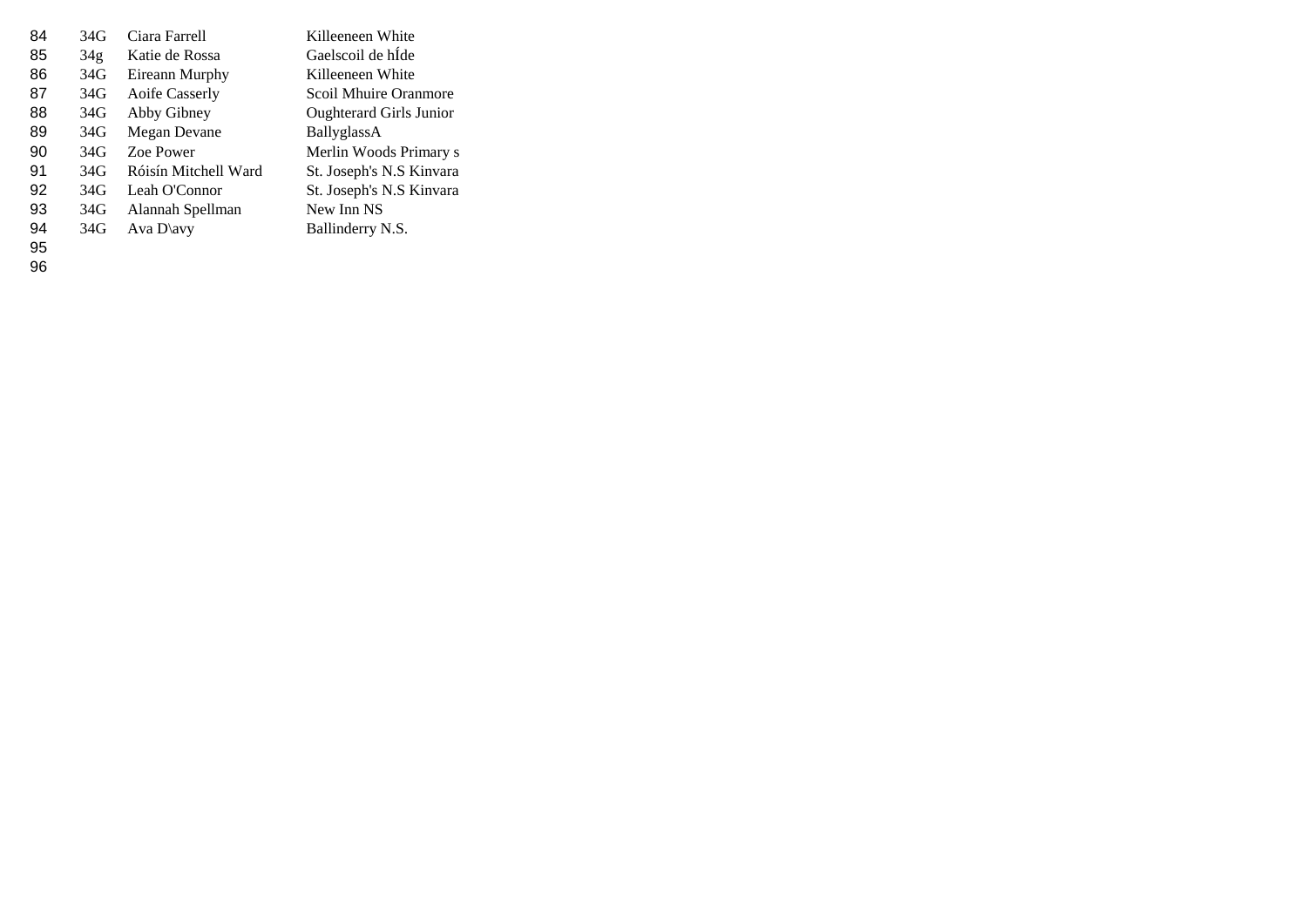| 84 | 34G | Ciara Farrell        | Killeeneen White               |
|----|-----|----------------------|--------------------------------|
| 85 | 34g | Katie de Rossa       | Gaelscoil de hIde              |
| 86 | 34G | Eireann Murphy       | Killeeneen White               |
| 87 | 34G | Aoife Casserly       | Scoil Mhuire Oranmore          |
| 88 | 34G | Abby Gibney          | <b>Oughterard Girls Junior</b> |
| 89 | 34G | Megan Devane         | BallyglassA                    |
| 90 | 34G | Zoe Power            | Merlin Woods Primary s         |
| 91 | 34G | Róisín Mitchell Ward | St. Joseph's N.S Kinvara       |
| 92 | 34G | Leah O'Connor        | St. Joseph's N.S Kinvara       |
| 93 | 34G | Alannah Spellman     | New Inn NS                     |
| 94 | 34G | Ava $D\$             | Ballinderry N.S.               |
|    |     |                      |                                |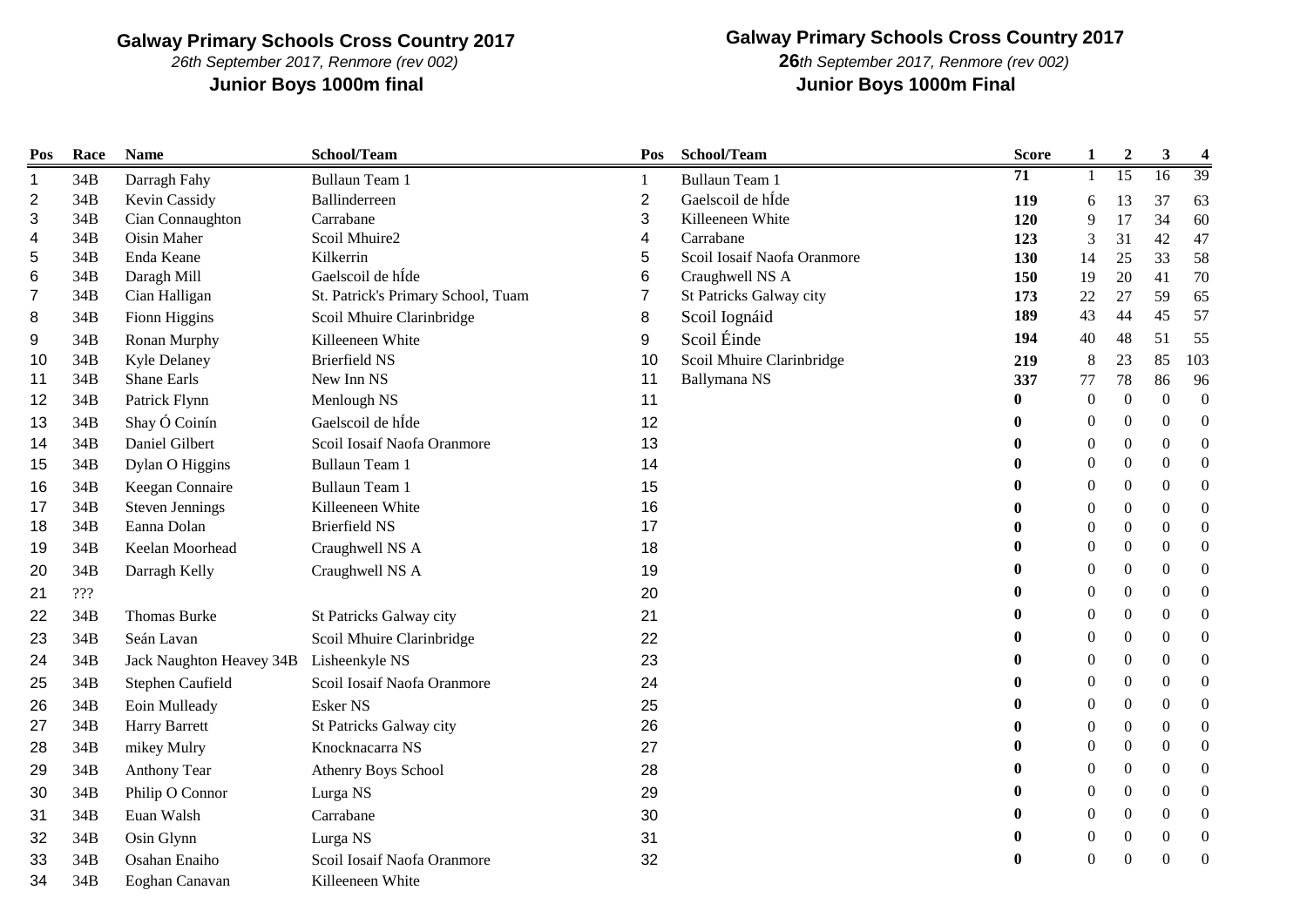*26th September 2017, Renmore (rev 002)*

# **Galway Primary Schools Cross Country 2017**

**Junior Boys 1000m final Junior Boys 1000m Final** *th September 2017, Renmore (rev 002)*

| Pos            | Race | <b>Name</b>                             | School/Team                        | Pos            | School/Team                 | <b>Score</b>     | $\mathbf{1}$     | $\boldsymbol{2}$ | $\mathbf{3}$     | $\overline{\mathbf{4}}$ |
|----------------|------|-----------------------------------------|------------------------------------|----------------|-----------------------------|------------------|------------------|------------------|------------------|-------------------------|
| $\mathbf 1$    | 34B  | Darragh Fahy                            | <b>Bullaun Team 1</b>              | 1              | <b>Bullaun Team 1</b>       | 71               | $\mathbf{1}$     | $\overline{15}$  | 16               | 39                      |
| $\overline{2}$ | 34B  | Kevin Cassidy                           | Ballinderreen                      | $\overline{2}$ | Gaelscoil de hÍde           | 119              | 6                | 13               | 37               | 63                      |
| 3              | 34B  | Cian Connaughton                        | Carrabane                          | 3              | Killeeneen White            | 120              | 9                | 17               | 34               | 60                      |
| 4              | 34B  | Oisin Maher                             | Scoil Mhuire2                      | 4              | Carrabane                   | 123              | 3                | 31               | 42               | 47                      |
| 5              | 34B  | Enda Keane                              | Kilkerrin                          | 5              | Scoil Iosaif Naofa Oranmore | 130              | 14               | 25               | 33               | 58                      |
| 6              | 34B  | Daragh Mill                             | Gaelscoil de hÍde                  | 6              | Craughwell NS A             | 150              | 19               | 20               | 41               | 70                      |
| 7              | 34B  | Cian Halligan                           | St. Patrick's Primary School, Tuam | 7              | St Patricks Galway city     | 173              | 22               | 27               | 59               | 65                      |
| 8              | 34B  | Fionn Higgins                           | Scoil Mhuire Clarinbridge          | 8              | Scoil Iognáid               | 189              | 43               | 44               | 45               | 57                      |
| 9              | 34B  | Ronan Murphy                            | Killeeneen White                   | 9              | Scoil Éinde                 | 194              | 40               | 48               | 51               | 55                      |
| 10             | 34B  | Kyle Delaney                            | <b>Brierfield NS</b>               | 10             | Scoil Mhuire Clarinbridge   | 219              | $\,$ 8 $\,$      | 23               | 85               | 103                     |
| 11             | 34B  | Shane Earls                             | New Inn NS                         | 11             | Ballymana NS                | 337              | 77               | 78               | 86               | 96                      |
| 12             | 34B  | Patrick Flynn                           | Menlough NS                        | 11             |                             | 0                | $\boldsymbol{0}$ | $\overline{0}$   | $\mathbf{0}$     | $\boldsymbol{0}$        |
| 13             | 34B  | Shay Ó Coinín                           | Gaelscoil de hÍde                  | 12             |                             |                  | $\boldsymbol{0}$ | $\boldsymbol{0}$ | $\boldsymbol{0}$ | $\mathbf{0}$            |
| 14             | 34B  | Daniel Gilbert                          | Scoil Iosaif Naofa Oranmore        | 13             |                             |                  | $\boldsymbol{0}$ | $\boldsymbol{0}$ | $\mathbf{0}$     | $\boldsymbol{0}$        |
| 15             | 34B  | Dylan O Higgins                         | <b>Bullaun Team 1</b>              | 14             |                             |                  | $\mathbf{0}$     | $\boldsymbol{0}$ | $\mathbf{0}$     | $\boldsymbol{0}$        |
| 16             | 34B  | Keegan Connaire                         | <b>Bullaun Team 1</b>              | 15             |                             | 0                | $\mathbf{0}$     | $\theta$         | $\mathbf{0}$     | $\boldsymbol{0}$        |
| 17             | 34B  | <b>Steven Jennings</b>                  | Killeeneen White                   | 16             |                             |                  | $\boldsymbol{0}$ | $\boldsymbol{0}$ | $\boldsymbol{0}$ | $\boldsymbol{0}$        |
| 18             | 34B  | Eanna Dolan                             | <b>Brierfield NS</b>               | 17             |                             |                  | $\boldsymbol{0}$ | $\boldsymbol{0}$ | $\boldsymbol{0}$ | $\boldsymbol{0}$        |
| 19             | 34B  | Keelan Moorhead                         | Craughwell NS A                    | 18             |                             | 0                | $\theta$         | $\Omega$         | $\mathbf{0}$     | $\boldsymbol{0}$        |
| 20             | 34B  | Darragh Kelly                           | Craughwell NS A                    | 19             |                             | 0                | $\boldsymbol{0}$ | $\boldsymbol{0}$ | $\mathbf{0}$     | $\boldsymbol{0}$        |
| 21             | 222  |                                         |                                    | 20             |                             | 0                | $\boldsymbol{0}$ | $\boldsymbol{0}$ | $\Omega$         | $\boldsymbol{0}$        |
| 22             | 34B  | Thomas Burke                            | St Patricks Galway city            | 21             |                             | 0                | $\theta$         | $\boldsymbol{0}$ | $\Omega$         | $\boldsymbol{0}$        |
| 23             | 34B  | Seán Lavan                              | Scoil Mhuire Clarinbridge          | 22             |                             | $\bf{0}$         | $\boldsymbol{0}$ | $\boldsymbol{0}$ | $\mathbf{0}$     | $\boldsymbol{0}$        |
| 24             | 34B  | Jack Naughton Heavey 34B Lisheenkyle NS |                                    | 23             |                             |                  | $\overline{0}$   | $\mathbf{0}$     | $\mathbf{0}$     | $\boldsymbol{0}$        |
| 25             | 34B  | Stephen Caufield                        | Scoil Iosaif Naofa Oranmore        | 24             |                             |                  | $\boldsymbol{0}$ | $\boldsymbol{0}$ | $\mathbf{0}$     | $\boldsymbol{0}$        |
| 26             | 34B  | Eoin Mulleady                           | Esker NS                           | 25             |                             |                  | $\boldsymbol{0}$ | $\boldsymbol{0}$ | $\Omega$         | $\boldsymbol{0}$        |
| 27             | 34B  | Harry Barrett                           | St Patricks Galway city            | 26             |                             | 0                | $\mathbf{0}$     | $\boldsymbol{0}$ | $\boldsymbol{0}$ | $\boldsymbol{0}$        |
| 28             | 34B  | mikey Mulry                             | Knocknacarra NS                    | 27             |                             | 0                | $\mathbf{0}$     | $\Omega$         | $\mathbf{0}$     | $\boldsymbol{0}$        |
| 29             | 34B  | Anthony Tear                            | Athenry Boys School                | 28             |                             |                  | $\boldsymbol{0}$ | $\mathbf{0}$     | $\theta$         | $\boldsymbol{0}$        |
| 30             | 34B  | Philip O Connor                         | Lurga NS                           | 29             |                             |                  | $\boldsymbol{0}$ | $\boldsymbol{0}$ | $\mathbf{0}$     | $\boldsymbol{0}$        |
| 31             | 34B  | Euan Walsh                              | Carrabane                          | 30             |                             | 0                | $\mathbf{0}$     | $\theta$         | $\Omega$         | $\overline{0}$          |
| 32             | 34B  | Osin Glynn                              | Lurga NS                           | 31             |                             | $\bf{0}$         | $\mathbf{0}$     | $\boldsymbol{0}$ | $\overline{0}$   | $\boldsymbol{0}$        |
| 33             | 34B  | Osahan Enaiho                           | Scoil Iosaif Naofa Oranmore        | 32             |                             | $\boldsymbol{0}$ | $\Omega$         | $\Omega$         | $\Omega$         | $\mathbf{0}$            |
| 34             | 34B  | Eoghan Canavan                          | Killeeneen White                   |                |                             |                  |                  |                  |                  |                         |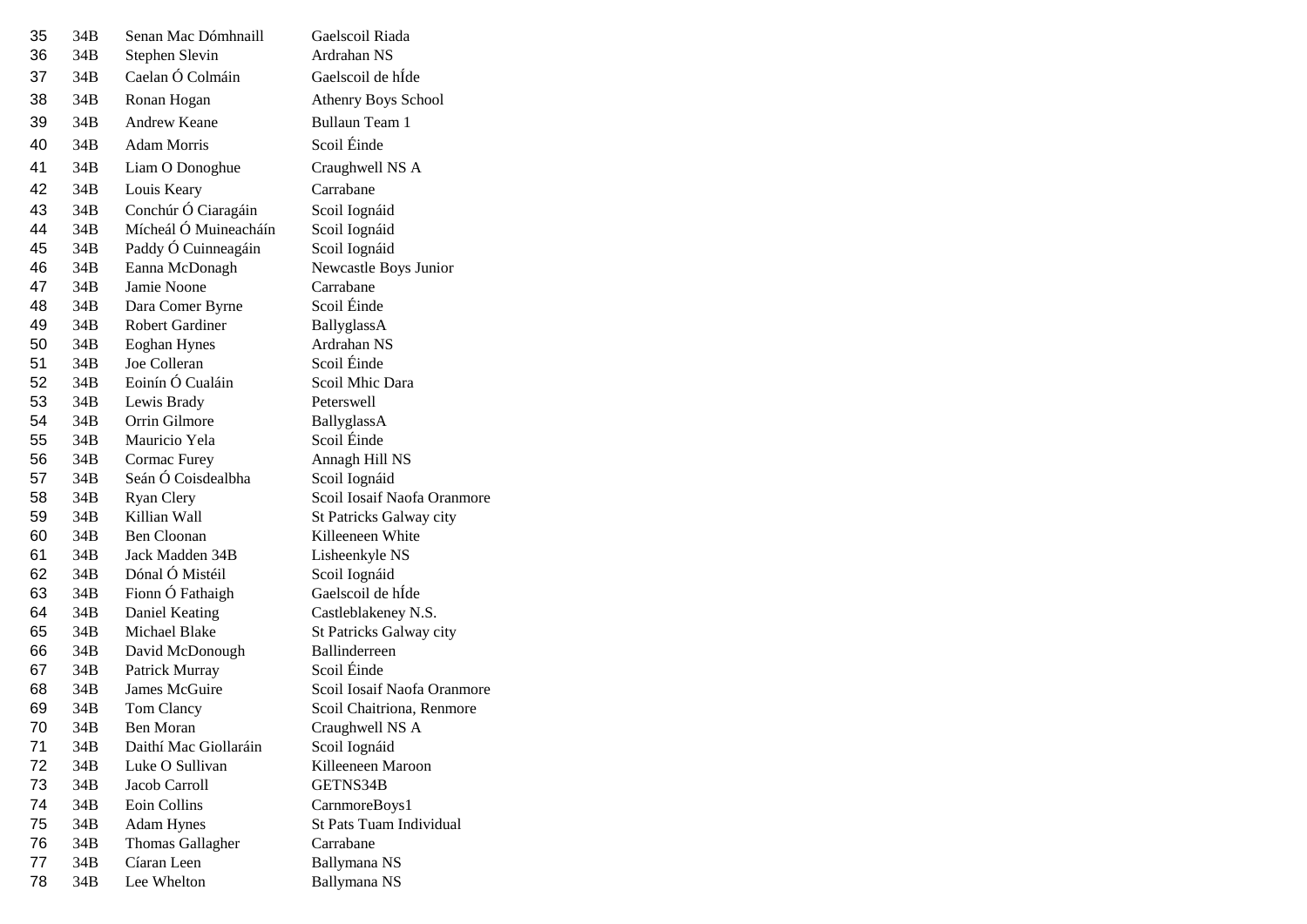| 35 | 34B | Senan Mac Dómhnaill     | Gaelscoil Riada             |
|----|-----|-------------------------|-----------------------------|
| 36 | 34B | Stephen Slevin          | Ardrahan NS                 |
| 37 | 34B | Caelan Ó Colmáin        | Gaelscoil de hÍde           |
| 38 | 34B | Ronan Hogan             | Athenry Boys School         |
| 39 | 34B | <b>Andrew Keane</b>     | <b>Bullaun Team 1</b>       |
| 40 | 34B | <b>Adam Morris</b>      | Scoil Éinde                 |
| 41 | 34B | Liam O Donoghue         | Craughwell NS A             |
| 42 | 34B | Louis Keary             | Carrabane                   |
| 43 | 34B | Conchúr Ó Ciaragáin     | Scoil Iognáid               |
| 44 | 34B | Mícheál Ó Muineacháín   | Scoil Iognáid               |
| 45 | 34B | Paddy Ó Cuinneagáin     | Scoil Iognáid               |
| 46 | 34B | Eanna McDonagh          | Newcastle Boys Junior       |
| 47 | 34B | Jamie Noone             | Carrabane                   |
| 48 | 34B | Dara Comer Byrne        | Scoil Éinde                 |
| 49 | 34B | <b>Robert Gardiner</b>  | BallyglassA                 |
| 50 | 34B | <b>Eoghan Hynes</b>     | Ardrahan NS                 |
| 51 | 34B | Joe Colleran            | Scoil Éinde                 |
| 52 | 34B | Eoinín Ó Cualáin        | Scoil Mhic Dara             |
| 53 | 34B | Lewis Brady             | Peterswell                  |
| 54 | 34B | Orrin Gilmore           | BallyglassA                 |
| 55 | 34B | Mauricio Yela           | Scoil Éinde                 |
| 56 | 34B | Cormac Furey            | Annagh Hill NS              |
| 57 | 34B | Seán Ó Coisdealbha      | Scoil Iognáid               |
| 58 | 34B | Ryan Clery              | Scoil Iosaif Naofa Oranmore |
| 59 | 34B | Killian Wall            | St Patricks Galway city     |
| 60 | 34B | <b>Ben Cloonan</b>      | Killeeneen White            |
| 61 | 34B | Jack Madden 34B         | Lisheenkyle NS              |
| 62 | 34B | Dónal Ó Mistéil         | Scoil Iognáid               |
| 63 | 34B | Fionn Ó Fathaigh        | Gaelscoil de hÍde           |
| 64 | 34B | Daniel Keating          | Castleblakeney N.S.         |
| 65 | 34B | Michael Blake           | St Patricks Galway city     |
| 66 | 34B | David McDonough         | <b>Ballinderreen</b>        |
| 67 | 34B | Patrick Murray          | Scoil Éinde                 |
| 68 | 34B | James McGuire           | Scoil Iosaif Naofa Oranmore |
| 69 | 34B | Tom Clancy              | Scoil Chaitriona, Renmore   |
| 70 | 34B | <b>Ben Moran</b>        | Craughwell NS A             |
| 71 | 34B | Daithí Mac Giollaráin   | Scoil Iognáid               |
| 72 | 34B | Luke O Sullivan         | Killeeneen Maroon           |
| 73 | 34B | Jacob Carroll           | GETNS34B                    |
| 74 | 34B | Eoin Collins            | CarnmoreBoys1               |
| 75 | 34B | <b>Adam Hynes</b>       | St Pats Tuam Individual     |
| 76 | 34B | <b>Thomas Gallagher</b> | Carrabane                   |
| 77 | 34B | Cíaran Leen             | Ballymana NS                |
| 78 | 34B | Lee Whelton             | Ballymana NS                |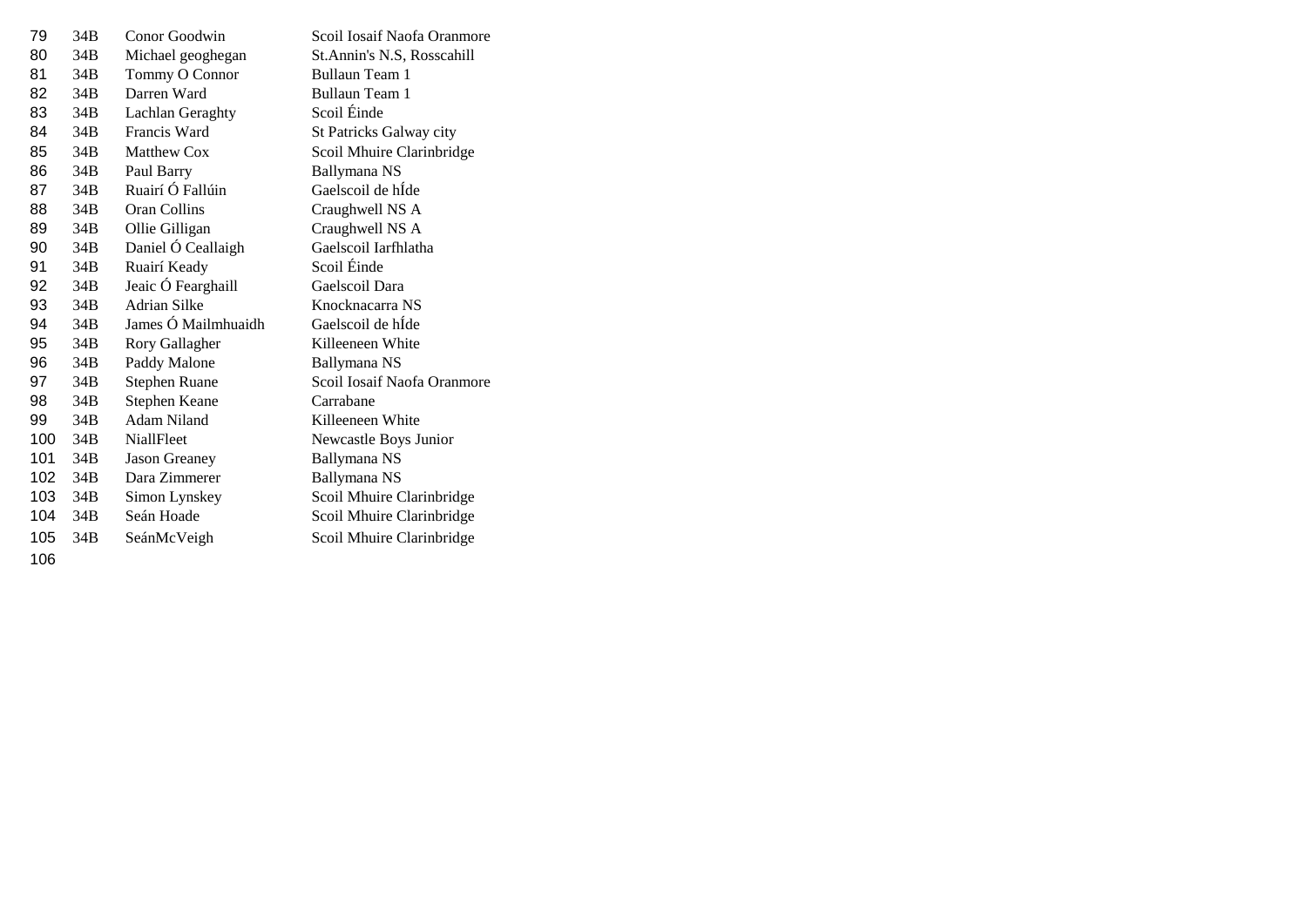| 79  | 34 <sub>B</sub> | Conor Goodwin        | Scoil Iosaif Naofa Oranmore |
|-----|-----------------|----------------------|-----------------------------|
| 80  | 34B             | Michael geoghegan    | St.Annin's N.S, Rosscahill  |
| 81  | 34B             | Tommy O Connor       | Bullaun Team 1              |
| 82  | 34B             | Darren Ward          | Bullaun Team 1              |
| 83  | 34B             | Lachlan Geraghty     | Scoil Éinde                 |
| 84  | 34B             | Francis Ward         | St Patricks Galway city     |
| 85  | 34B             | <b>Matthew Cox</b>   | Scoil Mhuire Clarinbridge   |
| 86  | 34B             | Paul Barry           | Ballymana NS                |
| 87  | 34B             | Ruairí Ó Fallúin     | Gaelscoil de hÍde           |
| 88  | 34B             | Oran Collins         | Craughwell NS A             |
| 89  | 34B             | Ollie Gilligan       | Craughwell NS A             |
| 90  | 34B             | Daniel Ó Ceallaigh   | Gaelscoil Iarfhlatha        |
| 91  | 34B             | Ruairí Keady         | Scoil Éinde                 |
| 92  | 34B             | Jeaic Ó Fearghaill   | Gaelscoil Dara              |
| 93  | 34B             | <b>Adrian Silke</b>  | Knocknacarra NS             |
| 94  | 34B             | James Ó Mailmhuaidh  | Gaelscoil de hÍde           |
| 95  | 34B             | Rory Gallagher       | Killeeneen White            |
| 96  | 34B             | Paddy Malone         | Ballymana NS                |
| 97  | 34B             | <b>Stephen Ruane</b> | Scoil Iosaif Naofa Oranmore |
| 98  | 34B             | Stephen Keane        | Carrabane                   |
| 99  | 34B             | Adam Niland          | Killeeneen White            |
| 100 | 34B             | <b>NiallFleet</b>    | Newcastle Boys Junior       |
| 101 | 34B             | <b>Jason Greaney</b> | Ballymana NS                |
| 102 | 34B             | Dara Zimmerer        | Ballymana NS                |
| 103 | 34B             | Simon Lynskey        | Scoil Mhuire Clarinbridge   |
| 104 | 34B             | Seán Hoade           | Scoil Mhuire Clarinbridge   |
| 105 | 34 <sub>B</sub> | SeánMcVeigh          | Scoil Mhuire Clarinbridge   |
|     |                 |                      |                             |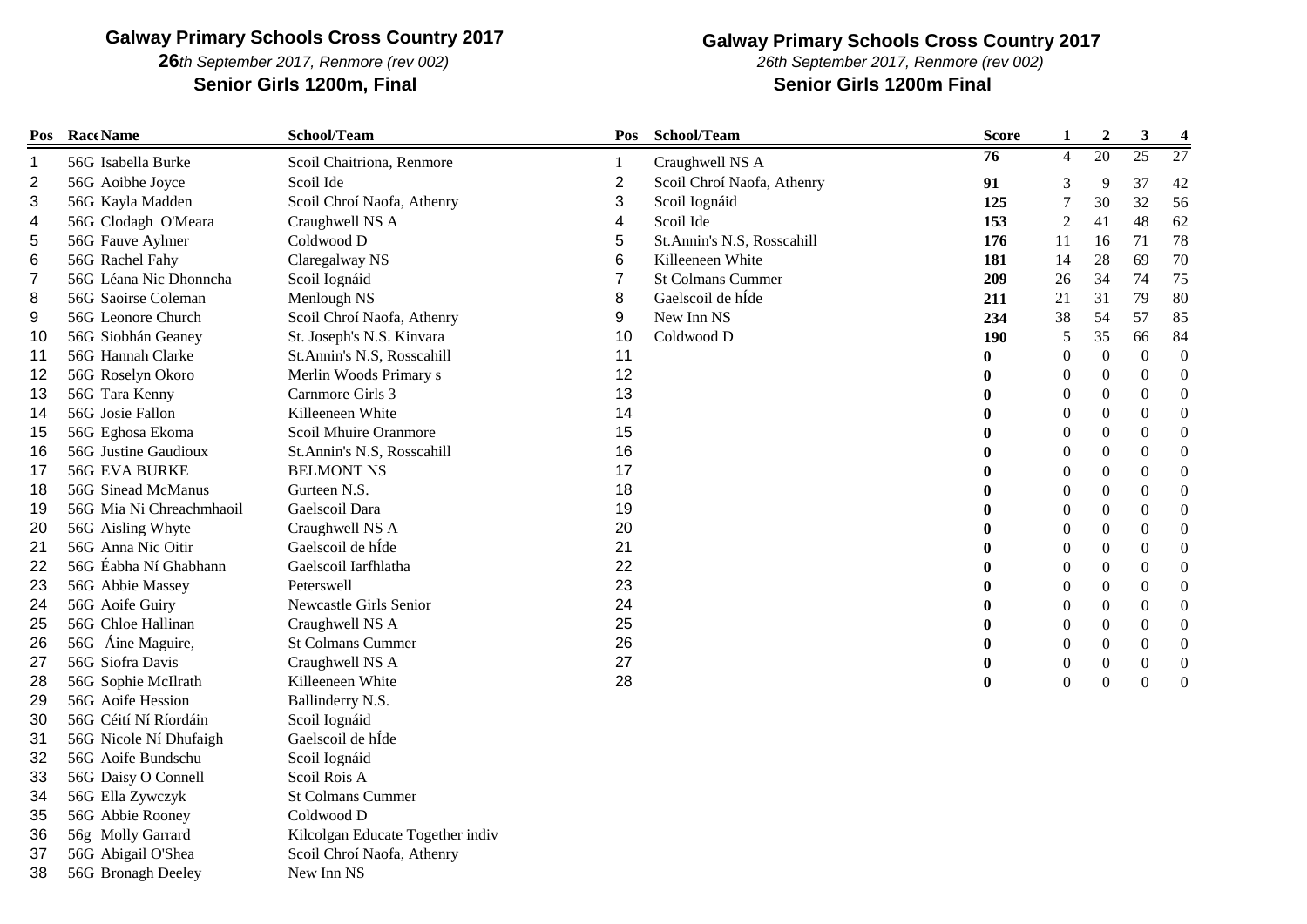*th September 2017, Renmore (rev 002)* **Senior Girls 1200m, Final Senior Girls 1200m Final**

### **Galway Primary Schools Cross Country 2017**

*26th September 2017, Renmore (rev 002)*

| Pos | Race Name                | School/Team                      | Pos            | School/Team                | <b>Score</b>    | $\mathbf{1}$     | $\boldsymbol{2}$ | $\mathbf{3}$     | $\overline{\mathbf{4}}$ |
|-----|--------------------------|----------------------------------|----------------|----------------------------|-----------------|------------------|------------------|------------------|-------------------------|
| 1   | 56G Isabella Burke       | Scoil Chaitriona, Renmore        | 1              | Craughwell NS A            | $\overline{76}$ | $\overline{4}$   | 20               | 25               | 27                      |
| 2   | 56G Aoibhe Joyce         | Scoil Ide                        | $\overline{2}$ | Scoil Chroí Naofa, Athenry | 91              | 3                | 9                | 37               | 42                      |
| 3   | 56G Kayla Madden         | Scoil Chroí Naofa, Athenry       | 3              | Scoil Iognáid              | 125             | 7                | 30               | 32               | 56                      |
| 4   | 56G Clodagh O'Meara      | Craughwell NS A                  | 4              | Scoil Ide                  | 153             | 2                | 41               | 48               | 62                      |
| 5   | 56G Fauve Aylmer         | Coldwood D                       | 5              | St.Annin's N.S, Rosscahill | 176             | 11               | 16               | 71               | 78                      |
| 6   | 56G Rachel Fahy          | Claregalway NS                   | 6              | Killeeneen White           | 181             | 14               | 28               | 69               | 70                      |
| 7   | 56G Léana Nic Dhonncha   | Scoil Iognáid                    | $\overline{7}$ | <b>St Colmans Cummer</b>   | 209             | 26               | 34               | 74               | 75                      |
| 8   | 56G Saoirse Coleman      | Menlough NS                      | 8              | Gaelscoil de hÍde          | 211             | 21               | 31               | 79               | 80                      |
| 9   | 56G Leonore Church       | Scoil Chroí Naofa, Athenry       | 9              | New Inn NS                 | 234             | 38               | 54               | 57               | 85                      |
| 10  | 56G Siobhán Geaney       | St. Joseph's N.S. Kinvara        | 10             | Coldwood D                 | 190             | 5                | 35               | 66               | 84                      |
| 11  | 56G Hannah Clarke        | St.Annin's N.S, Rosscahill       | 11             |                            |                 | $\overline{0}$   | $\boldsymbol{0}$ | $\overline{0}$   | $\boldsymbol{0}$        |
| 12  | 56G Roselyn Okoro        | Merlin Woods Primary s           | 12             |                            |                 | $\overline{0}$   | $\boldsymbol{0}$ | $\overline{0}$   | $\Omega$                |
| 13  | 56G Tara Kenny           | Carnmore Girls 3                 | 13             |                            |                 | $\boldsymbol{0}$ | 0                | $\boldsymbol{0}$ | $\boldsymbol{0}$        |
| 14  | 56G Josie Fallon         | Killeeneen White                 | 14             |                            |                 | $\boldsymbol{0}$ | $\boldsymbol{0}$ | $\boldsymbol{0}$ | $\mathbf{0}$            |
| 15  | 56G Eghosa Ekoma         | Scoil Mhuire Oranmore            | 15             |                            |                 | $\theta$         | $\overline{0}$   | $\overline{0}$   | $\Omega$                |
| 16  | 56G Justine Gaudioux     | St.Annin's N.S, Rosscahill       | 16             |                            |                 | $\boldsymbol{0}$ | $\boldsymbol{0}$ | $\boldsymbol{0}$ | $\mathbf{0}$            |
| 17  | <b>56G EVA BURKE</b>     | <b>BELMONT NS</b>                | 17             |                            | 0               | $\overline{0}$   | $\overline{0}$   | $\mathbf{0}$     | $\Omega$                |
| 18  | 56G Sinead McManus       | Gurteen N.S.                     | 18             |                            | $\bf{0}$        | $\theta$         | 0                | $\boldsymbol{0}$ | $\theta$                |
| 19  | 56G Mia Ni Chreachmhaoil | Gaelscoil Dara                   | 19             |                            | 0               | $\boldsymbol{0}$ | $\boldsymbol{0}$ | $\boldsymbol{0}$ | $\theta$                |
| 20  | 56G Aisling Whyte        | Craughwell NS A                  | 20             |                            |                 | $\Omega$         | $\Omega$         | $\Omega$         | $\theta$                |
| 21  | 56G Anna Nic Oitir       | Gaelscoil de hÍde                | 21             |                            |                 | $\overline{0}$   | $\overline{0}$   | $\overline{0}$   | $\mathbf{0}$            |
| 22  | 56G Éabha Ní Ghabhann    | Gaelscoil Iarfhlatha             | 22             |                            |                 | $\boldsymbol{0}$ | $\boldsymbol{0}$ | $\boldsymbol{0}$ | $\Omega$                |
| 23  | 56G Abbie Massey         | Peterswell                       | 23             |                            |                 | $\boldsymbol{0}$ | $\theta$         | $\boldsymbol{0}$ | $\theta$                |
| 24  | 56G Aoife Guiry          | Newcastle Girls Senior           | 24             |                            |                 | $\boldsymbol{0}$ | $\overline{0}$   | $\boldsymbol{0}$ | $\mathbf{0}$            |
| 25  | 56G Chloe Hallinan       | Craughwell NS A                  | 25             |                            |                 | $\theta$         | $\overline{0}$   | $\boldsymbol{0}$ | $\theta$                |
| 26  | 56G Áine Maguire,        | <b>St Colmans Cummer</b>         | 26             |                            |                 | $\overline{0}$   | $\overline{0}$   | $\boldsymbol{0}$ | $\mathbf{0}$            |
| 27  | 56G Siofra Davis         | Craughwell NS A                  | 27             |                            | 0               | $\boldsymbol{0}$ | $\boldsymbol{0}$ | $\boldsymbol{0}$ | $\Omega$                |
| 28  | 56G Sophie McIlrath      | Killeeneen White                 | 28             |                            | $\bf{0}$        | $\theta$         | $\overline{0}$   | $\mathbf{0}$     | $\theta$                |
| 29  | 56G Aoife Hession        | Ballinderry N.S.                 |                |                            |                 |                  |                  |                  |                         |
| 30  | 56G Céití Ní Ríordáin    | Scoil Iognáid                    |                |                            |                 |                  |                  |                  |                         |
| 31  | 56G Nicole Ní Dhufaigh   | Gaelscoil de hÍde                |                |                            |                 |                  |                  |                  |                         |
| 32  | 56G Aoife Bundschu       | Scoil Iognáid                    |                |                            |                 |                  |                  |                  |                         |
| 33  | 56G Daisy O Connell      | Scoil Rois A                     |                |                            |                 |                  |                  |                  |                         |
| 34  | 56G Ella Zywczyk         | <b>St Colmans Cummer</b>         |                |                            |                 |                  |                  |                  |                         |
| 35  | 56G Abbie Rooney         | Coldwood D                       |                |                            |                 |                  |                  |                  |                         |
| 36  | 56g Molly Garrard        | Kilcolgan Educate Together indiv |                |                            |                 |                  |                  |                  |                         |
| 37  | 56G Abigail O'Shea       | Scoil Chroí Naofa, Athenry       |                |                            |                 |                  |                  |                  |                         |
| 38  | 56G Bronagh Deeley       | New Inn NS                       |                |                            |                 |                  |                  |                  |                         |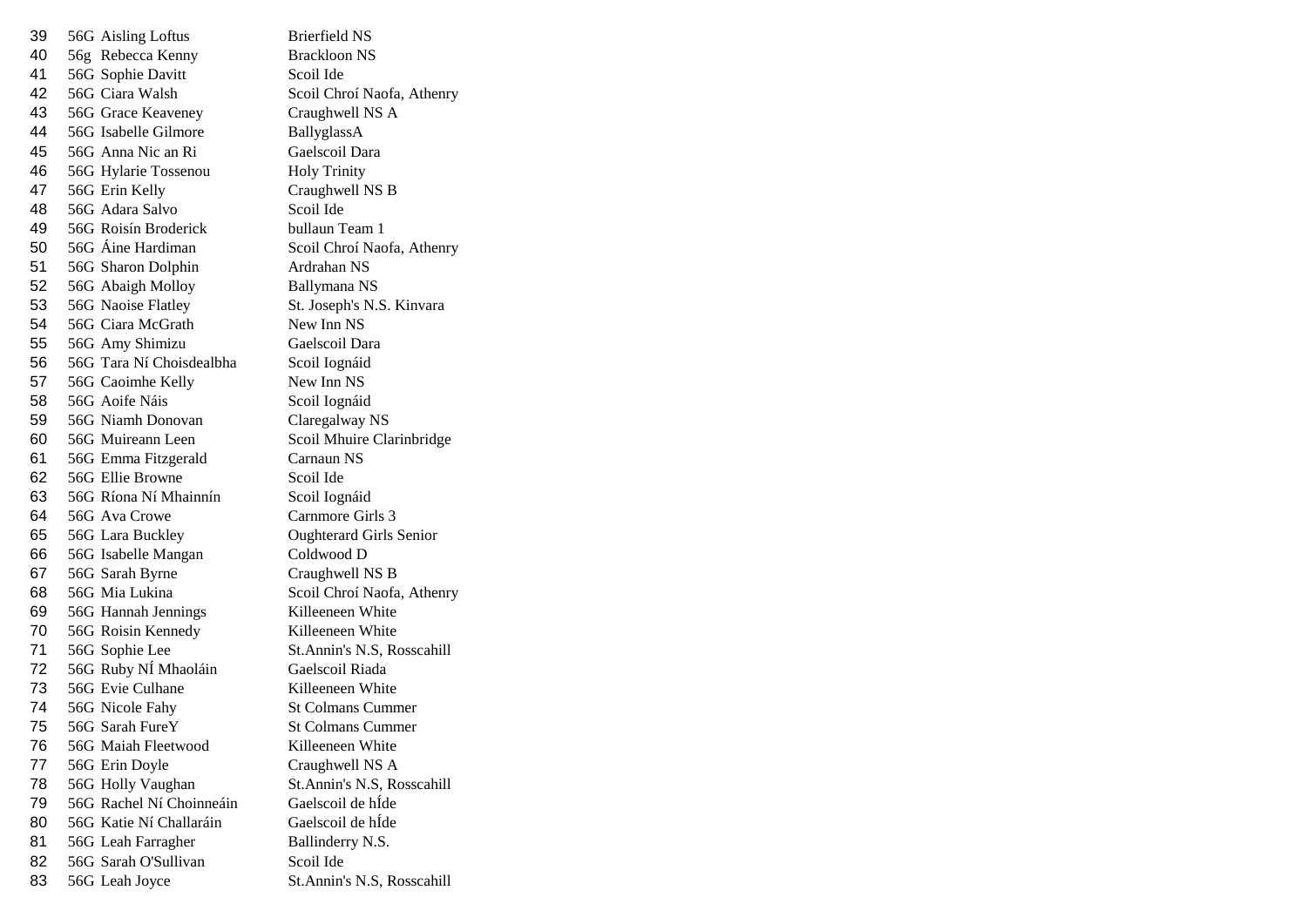39 56G Aisling Loftus Brierfield NS 56g Rebecca Kenny Brackloon NS 41 56G Sophie Davitt Scoil Ide 56G Ciara Walsh Scoil Chroí Naofa, Athenry 43 56G Grace Keaveney Craughwell NS A 44 56G Isabelle Gilmore BallyglassA 56G Anna Nic an Ri Gaelscoil Dara 56G Hylarie Tossenou Holy Trinity 56G Erin Kelly Craughwell NS B 56G Adara Salvo Scoil Ide 56G Roisín Broderick bullaun Team 1 56G Áine Hardiman Scoil Chroí Naofa, Athenry 56G Sharon Dolphin Ardrahan NS 52 56G Abaigh Molloy Ballymana NS 56G Naoise Flatley St. Joseph's N.S. Kinvara 54 56G Ciara McGrath New Inn NS 56G Amy Shimizu Gaelscoil Dara 56G Tara Ní Choisdealbha Scoil Iognáid 57 56G Caoimhe Kelly New Inn NS 58 56G Aoife Náis Scoil Iognáid 56G Niamh Donovan Claregalway NS 56G Muireann Leen Scoil Mhuire Clarinbridge 56G Emma Fitzgerald Carnaun NS 56G Ellie Browne Scoil Ide 56G Ríona Ní Mhainnín Scoil Iognáid 56G Ava Crowe Carnmore Girls 3 56G Lara Buckley Oughterard Girls Senior 56G Isabelle Mangan Coldwood D 56G Sarah Byrne Craughwell NS B 56G Mia Lukina Scoil Chroí Naofa, Athenry 56G Hannah Jennings Killeeneen White 56G Roisin Kennedy Killeeneen White 71 56G Sophie Lee St.Annin's N.S, Rosscahill 56G Ruby NÍ Mhaoláin Gaelscoil Riada 73 56G Evie Culhane Killeeneen White 74 56G Nicole Fahy St Colmans Cummer 56G Sarah FureY St Colmans Cummer 76 56G Maiah Fleetwood Killeeneen White 56G Erin Doyle Craughwell NS A 78 56G Holly Vaughan St.Annin's N.S. Rosscahill 56G Rachel Ní Choinneáin Gaelscoil de hÍde 56G Katie Ní Challaráin Gaelscoil de hÍde 81 56G Leah Farragher Ballinderry N.S. 82 56G Sarah O'Sullivan Scoil Ide 56G Leah Joyce St.Annin's N.S, Rosscahill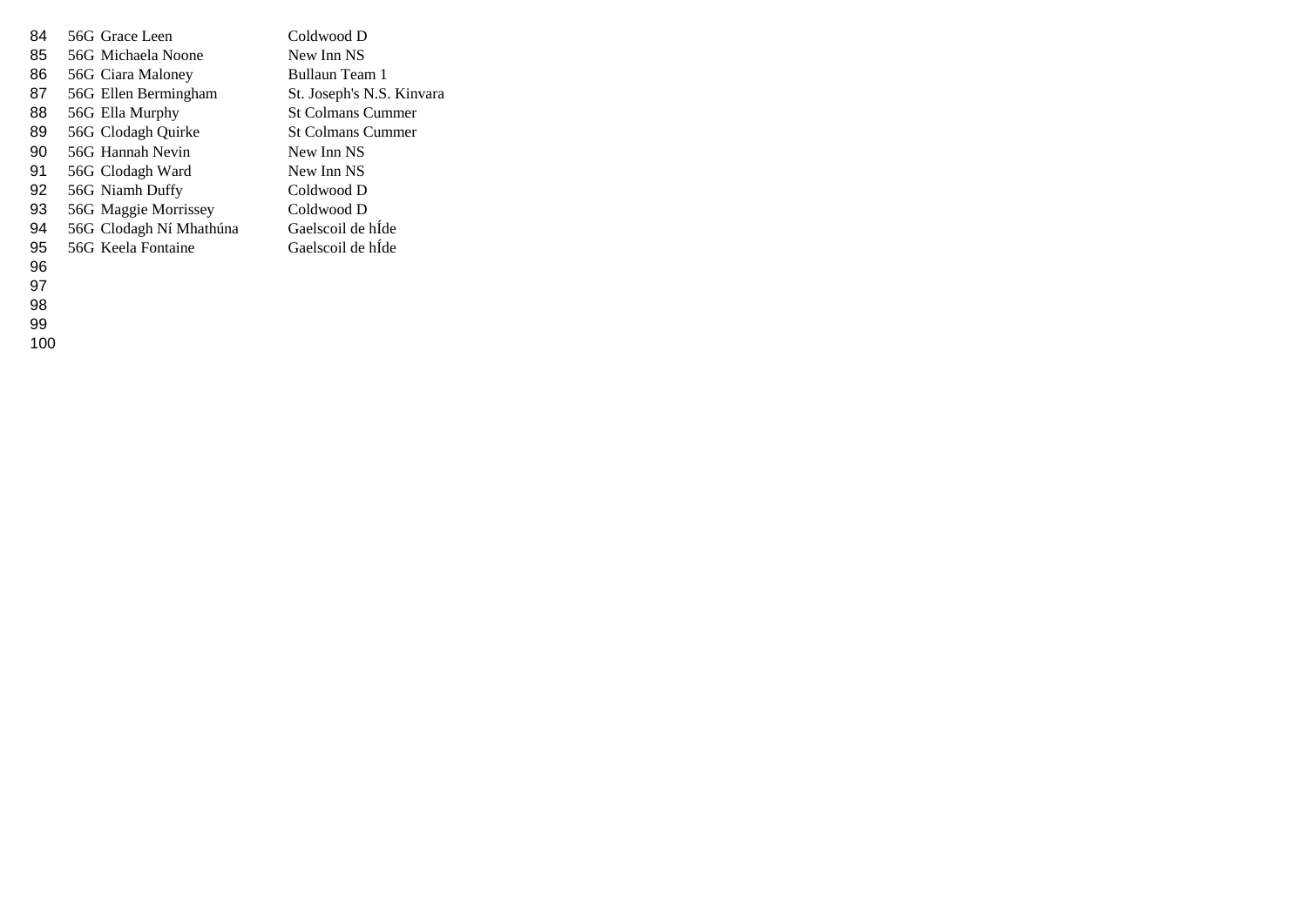| 84 | 56G Grace Leen          | Coldwood D                |
|----|-------------------------|---------------------------|
| 85 | 56G Michaela Noone      | New Inn NS                |
| 86 | 56G Ciara Maloney       | Bullaun Team 1            |
| 87 | 56G Ellen Bermingham    | St. Joseph's N.S. Kinvara |
| 88 | 56G Ella Murphy         | <b>St Colmans Cummer</b>  |
| 89 | 56G Clodagh Quirke      | <b>St Colmans Cummer</b>  |
| 90 | 56G Hannah Nevin        | New Inn NS                |
| 91 | 56G Clodagh Ward        | New Inn NS                |
| 92 | 56G Niamh Duffy         | Coldwood D                |
| 93 | 56G Maggie Morrissey    | Coldwood D                |
| 94 | 56G Clodagh Ní Mhathúna | Gaelscoil de hÍde         |
| 95 | 56G Keela Fontaine      | Gaelscoil de hIde         |
|    |                         |                           |

- 
- 
- 
- 
-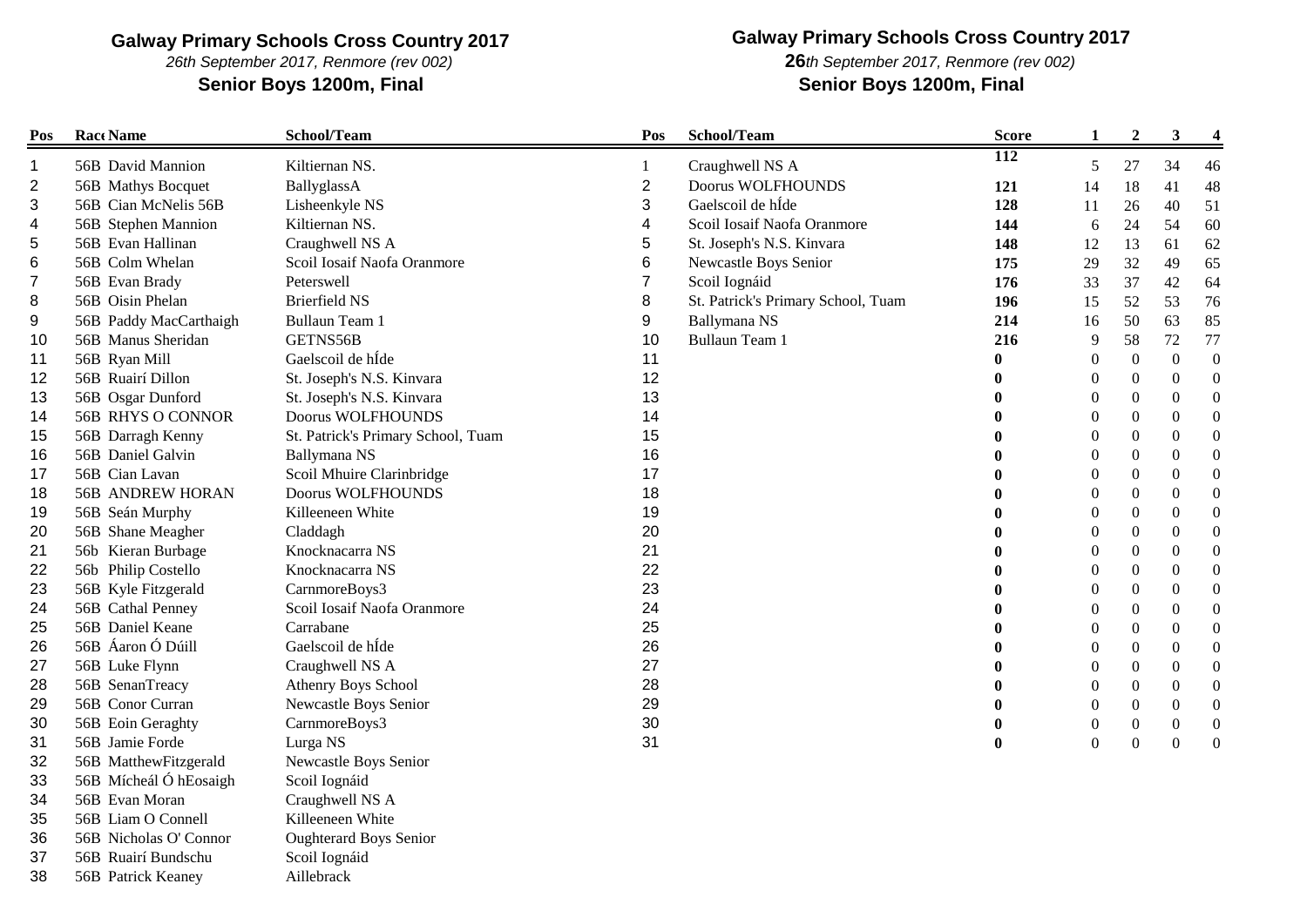*26th September 2017, Renmore (rev 002)*

**Senior Boys 1200m, Final Senior Boys 1200m, Final**

# **Galway Primary Schools Cross Country 2017**

*th September 2017, Renmore (rev 002)*

| Pos | Race Name              | School/Team                        | Pos            | School/Team                        | <b>Score</b>     | $\mathbf{1}$     | $\boldsymbol{2}$ | 3                | 4                |
|-----|------------------------|------------------------------------|----------------|------------------------------------|------------------|------------------|------------------|------------------|------------------|
| 1   | 56B David Mannion      | Kiltiernan NS.                     |                | Craughwell NS A                    | $\overline{112}$ | 5                | 27               | 34               | 46               |
| 2   | 56B Mathys Bocquet     | BallyglassA                        | $\overline{2}$ | <b>Doorus WOLFHOUNDS</b>           | 121              | 14               | 18               | 41               | 48               |
| 3   | 56B Cian McNelis 56B   | Lisheenkyle NS                     | 3              | Gaelscoil de hÍde                  | 128              | 11               | 26               | 40               | 51               |
| 4   | 56B Stephen Mannion    | Kiltiernan NS.                     | 4              | Scoil Iosaif Naofa Oranmore        | 144              | 6                | 24               | 54               | 60               |
| 5   | 56B Evan Hallinan      | Craughwell NS A                    | 5              | St. Joseph's N.S. Kinvara          | 148              | 12               | 13               | 61               | 62               |
| 6   | 56B Colm Whelan        | Scoil Iosaif Naofa Oranmore        | 6              | Newcastle Boys Senior              | 175              | 29               | 32               | 49               | 65               |
|     | 56B Evan Brady         | Peterswell                         | 7              | Scoil Iognáid                      | 176              | 33               | 37               | 42               | 64               |
| 8   | 56B Oisin Phelan       | <b>Brierfield NS</b>               | 8              | St. Patrick's Primary School, Tuam | 196              | 15               | 52               | 53               | 76               |
| 9   | 56B Paddy MacCarthaigh | <b>Bullaun Team 1</b>              | 9              | Ballymana NS                       | 214              | 16               | 50               | 63               | 85               |
| 10  | 56B Manus Sheridan     | GETNS56B                           | 10             | <b>Bullaun Team 1</b>              | 216              | 9                | 58               | 72               | 77               |
| 11  | 56B Ryan Mill          | Gaelscoil de hÍde                  | 11             |                                    | $\bf{0}$         | $\boldsymbol{0}$ | $\boldsymbol{0}$ | $\boldsymbol{0}$ | $\boldsymbol{0}$ |
| 12  | 56B Ruairí Dillon      | St. Joseph's N.S. Kinvara          | 12             |                                    |                  | $\boldsymbol{0}$ | $\boldsymbol{0}$ | $\boldsymbol{0}$ | $\boldsymbol{0}$ |
| 13  | 56B Osgar Dunford      | St. Joseph's N.S. Kinvara          | 13             |                                    |                  | $\theta$         | $\boldsymbol{0}$ | $\theta$         | $\Omega$         |
| 14  | 56B RHYS O CONNOR      | Doorus WOLFHOUNDS                  | 14             |                                    |                  | 0                | $\theta$         | $\theta$         | $\boldsymbol{0}$ |
| 15  | 56B Darragh Kenny      | St. Patrick's Primary School, Tuam | 15             |                                    |                  | 0                | $\overline{0}$   | $\theta$         | $\boldsymbol{0}$ |
| 16  | 56B Daniel Galvin      | Ballymana NS                       | 16             |                                    |                  | $\theta$         | $\overline{0}$   | $\boldsymbol{0}$ | $\boldsymbol{0}$ |
| 17  | 56B Cian Lavan         | Scoil Mhuire Clarinbridge          | 17             |                                    |                  | $\Omega$         | $\boldsymbol{0}$ | $\boldsymbol{0}$ | $\boldsymbol{0}$ |
| 18  | 56B ANDREW HORAN       | Doorus WOLFHOUNDS                  | 18             |                                    |                  | 0                | $\theta$         | $\Omega$         | $\Omega$         |
| 19  | 56B Seán Murphy        | Killeeneen White                   | 19             |                                    |                  | 0                | $\boldsymbol{0}$ | $\boldsymbol{0}$ | $\boldsymbol{0}$ |
| 20  | 56B Shane Meagher      | Claddagh                           | 20             |                                    |                  | 0                | 0                | $\theta$         | $\boldsymbol{0}$ |
| 21  | 56b Kieran Burbage     | Knocknacarra NS                    | 21             |                                    |                  | 0                | $\boldsymbol{0}$ | $\boldsymbol{0}$ | $\Omega$         |
| 22  | 56b Philip Costello    | Knocknacarra NS                    | 22             |                                    |                  | 0                | $\Omega$         | $\Omega$         | $\mathbf{0}$     |
| 23  | 56B Kyle Fitzgerald    | CarnmoreBoys3                      | 23             |                                    |                  | 0                | $\overline{0}$   | $\theta$         | $\boldsymbol{0}$ |
| 24  | 56B Cathal Penney      | Scoil Iosaif Naofa Oranmore        | 24             |                                    |                  | $\theta$         | $\overline{0}$   | $\theta$         | $\boldsymbol{0}$ |
| 25  | 56B Daniel Keane       | Carrabane                          | 25             |                                    |                  | $\boldsymbol{0}$ | $\Omega$         | $\boldsymbol{0}$ | $\boldsymbol{0}$ |
| 26  | 56B Áaron Ó Dúill      | Gaelscoil de hÍde                  | 26             |                                    |                  | 0                | $\theta$         | $\theta$         | $\mathbf{0}$     |
| 27  | 56B Luke Flynn         | Craughwell NS A                    | 27             |                                    |                  | 0                | $\overline{0}$   | $\theta$         | $\boldsymbol{0}$ |
| 28  | 56B SenanTreacy        | Athenry Boys School                | 28             |                                    |                  | 0                | $\boldsymbol{0}$ | $\boldsymbol{0}$ | $\mathbf{0}$     |
| 29  | 56B Conor Curran       | Newcastle Boys Senior              | 29             |                                    |                  | 0                | $\theta$         | $\mathbf{0}$     | $\Omega$         |
| 30  | 56B Eoin Geraghty      | CarnmoreBoys3                      | 30             |                                    |                  | 0                | $\boldsymbol{0}$ | $\boldsymbol{0}$ | $\mathbf{0}$     |
| 31  | 56B Jamie Forde        | Lurga NS                           | 31             |                                    |                  | $\mathbf{0}$     | $\theta$         | $\boldsymbol{0}$ | $\Omega$         |
| 32  | 56B MatthewFitzgerald  | Newcastle Boys Senior              |                |                                    |                  |                  |                  |                  |                  |
| 33  | 56B Mícheál Ó hEosaigh | Scoil Iognáid                      |                |                                    |                  |                  |                  |                  |                  |
| 34  | 56B Evan Moran         | Craughwell NS A                    |                |                                    |                  |                  |                  |                  |                  |
| 35  | 56B Liam O Connell     | Killeeneen White                   |                |                                    |                  |                  |                  |                  |                  |
| 36  | 56B Nicholas O' Connor | <b>Oughterard Boys Senior</b>      |                |                                    |                  |                  |                  |                  |                  |
| 37  | 56B Ruairí Bundschu    | Scoil Iognáid                      |                |                                    |                  |                  |                  |                  |                  |
| 38  | 56B Patrick Keaney     | Aillebrack                         |                |                                    |                  |                  |                  |                  |                  |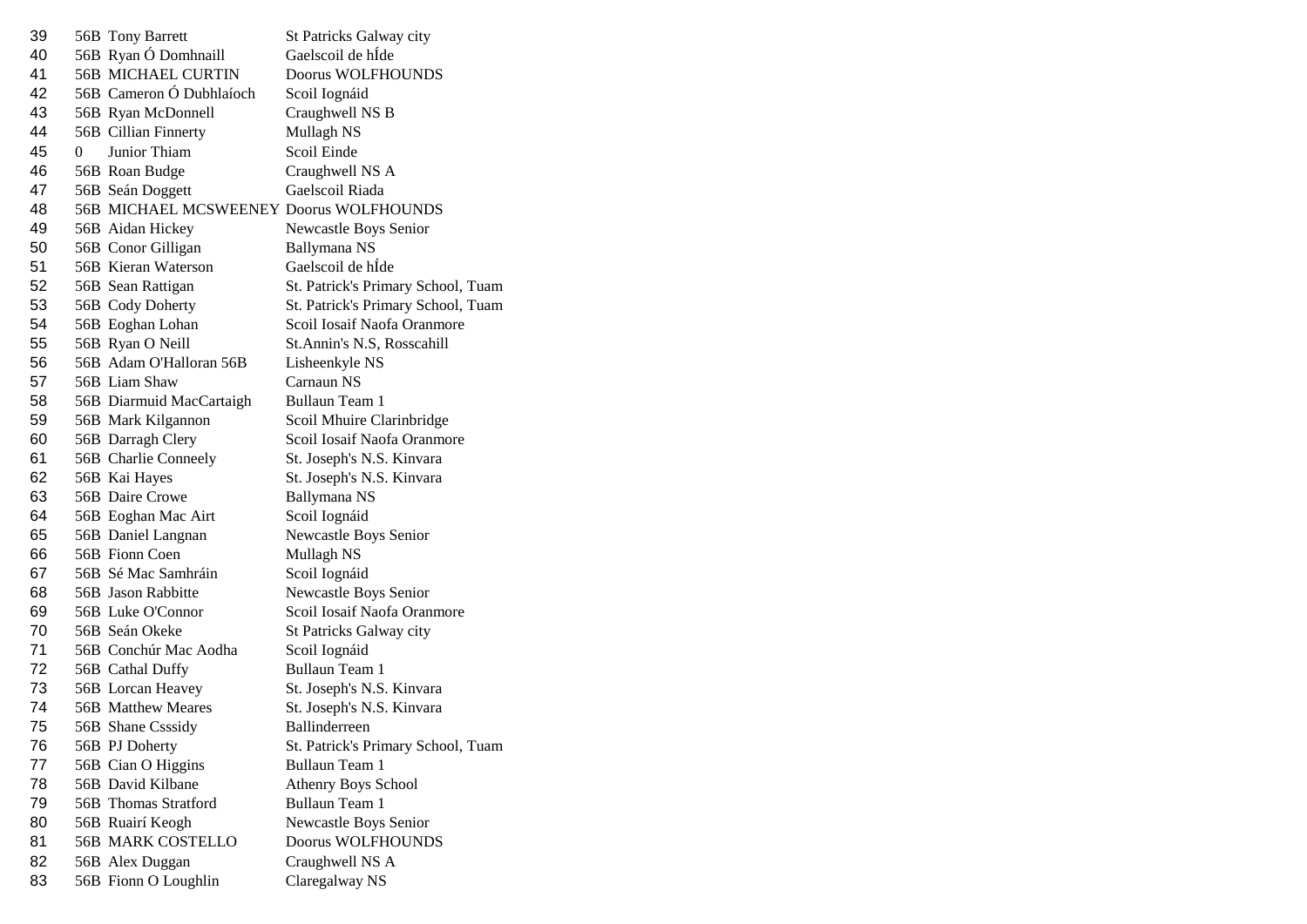| 39 |   | 56B Tony Barrett                        | St Patricks Galway city            |
|----|---|-----------------------------------------|------------------------------------|
| 40 |   | 56B Ryan Ó Domhnaill                    | Gaelscoil de hÍde                  |
| 41 |   | <b>56B MICHAEL CURTIN</b>               | <b>Doorus WOLFHOUNDS</b>           |
| 42 |   | 56B Cameron Ó Dubhlaíoch                | Scoil Iognáid                      |
| 43 |   | 56B Ryan McDonnell                      | Craughwell NS B                    |
| 44 |   | 56B Cillian Finnerty                    | Mullagh NS                         |
| 45 | 0 | Junior Thiam                            | Scoil Einde                        |
| 46 |   | 56B Roan Budge                          | Craughwell NS A                    |
| 47 |   | 56B Seán Doggett                        | Gaelscoil Riada                    |
| 48 |   | 56B MICHAEL MCSWEENEY Doorus WOLFHOUNDS |                                    |
| 49 |   | 56B Aidan Hickey                        | Newcastle Boys Senior              |
| 50 |   | 56B Conor Gilligan                      | Ballymana NS                       |
| 51 |   | 56B Kieran Waterson                     | Gaelscoil de hÍde                  |
| 52 |   | 56B Sean Rattigan                       | St. Patrick's Primary School, Tuam |
| 53 |   | 56B Cody Doherty                        | St. Patrick's Primary School, Tuam |
| 54 |   | 56B Eoghan Lohan                        | Scoil Iosaif Naofa Oranmore        |
| 55 |   | 56B Ryan O Neill                        | St.Annin's N.S, Rosscahill         |
| 56 |   | 56B Adam O'Halloran 56B                 | Lisheenkyle NS                     |
| 57 |   | 56B Liam Shaw                           | Carnaun NS                         |
| 58 |   | 56B Diarmuid MacCartaigh                | <b>Bullaun Team 1</b>              |
| 59 |   | 56B Mark Kilgannon                      | Scoil Mhuire Clarinbridge          |
| 60 |   | 56B Darragh Clery                       | Scoil Iosaif Naofa Oranmore        |
| 61 |   | 56B Charlie Conneely                    | St. Joseph's N.S. Kinvara          |
| 62 |   | 56B Kai Hayes                           | St. Joseph's N.S. Kinvara          |
| 63 |   | 56B Daire Crowe                         | <b>Ballymana NS</b>                |
| 64 |   | 56B Eoghan Mac Airt                     | Scoil Iognáid                      |
| 65 |   | 56B Daniel Langnan                      | Newcastle Boys Senior              |
| 66 |   | 56B Fionn Coen                          | Mullagh NS                         |
| 67 |   | 56B Sé Mac Samhráin                     | Scoil Iognáid                      |
| 68 |   | 56B Jason Rabbitte                      | Newcastle Boys Senior              |
| 69 |   | 56B Luke O'Connor                       | Scoil Iosaif Naofa Oranmore        |
| 70 |   | 56B Seán Okeke                          | St Patricks Galway city            |
| 71 |   | 56B Conchúr Mac Aodha                   | Scoil Iognáid                      |
| 72 |   | 56B Cathal Duffy                        | <b>Bullaun Team 1</b>              |
| 73 |   | 56B Lorcan Heavey                       | St. Joseph's N.S. Kinvara          |
| 74 |   | 56B Matthew Meares                      | St. Joseph's N.S. Kinvara          |
| 75 |   | 56B Shane Csssidy                       | Ballinderreen                      |
| 76 |   | 56B PJ Doherty                          | St. Patrick's Primary School, Tuam |
| 77 |   | 56B Cian O Higgins                      | <b>Bullaun Team 1</b>              |
| 78 |   | 56B David Kilbane                       | <b>Athenry Boys School</b>         |
| 79 |   | 56B Thomas Stratford                    | Bullaun Team 1                     |
| 80 |   | 56B Ruairí Keogh                        | Newcastle Boys Senior              |
| 81 |   | <b>56B MARK COSTELLO</b>                | Doorus WOLFHOUNDS                  |
| 82 |   | 56B Alex Duggan                         | Craughwell NS A                    |
| 83 |   | 56B Fionn O Loughlin                    | Claregalway NS                     |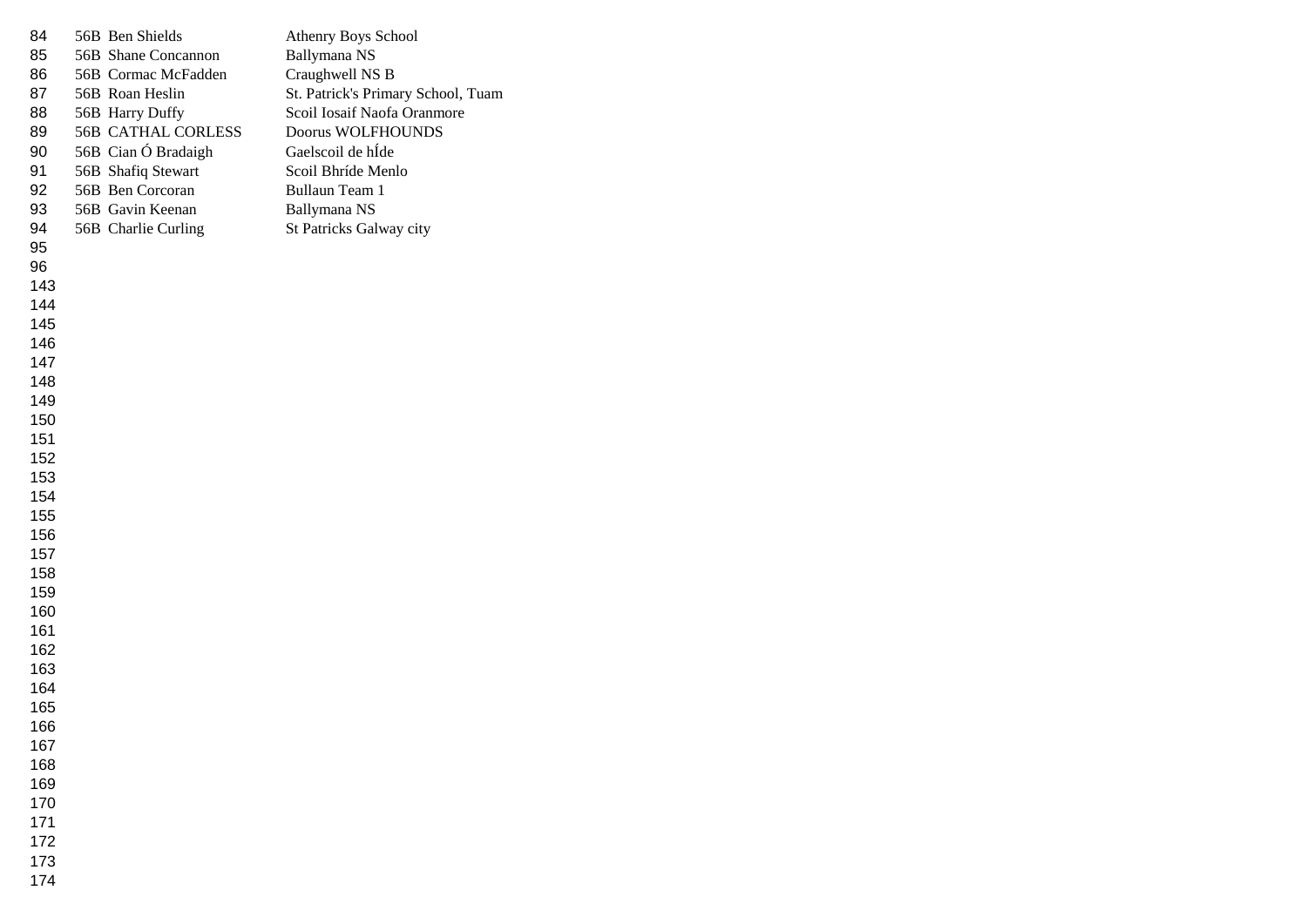| 84         | 56B Ben Shields           | Athenry Boys School                |
|------------|---------------------------|------------------------------------|
| 85         | 56B Shane Concannon       | Ballymana NS                       |
| 86         | 56B Cormac McFadden       | Craughwell NS B                    |
| 87         | 56B Roan Heslin           | St. Patrick's Primary School, Tuam |
| 88         | 56B Harry Duffy           | Scoil Iosaif Naofa Oranmore        |
| 89         | <b>56B CATHAL CORLESS</b> | Doorus WOLFHOUNDS                  |
| 90         | 56B Cian Ó Bradaigh       | Gaelscoil de hÍde                  |
| 91         | 56B Shafiq Stewart        | Scoil Bhríde Menlo                 |
| 92         | 56B Ben Corcoran          | Bullaun Team 1                     |
| 93         | 56B Gavin Keenan          | Ballymana NS                       |
| 94         | 56B Charlie Curling       | St Patricks Galway city            |
| 95         |                           |                                    |
| 96         |                           |                                    |
| 143        |                           |                                    |
| 144        |                           |                                    |
| 145        |                           |                                    |
| 146        |                           |                                    |
| 147        |                           |                                    |
| 148        |                           |                                    |
| 149        |                           |                                    |
| 150        |                           |                                    |
| 151        |                           |                                    |
| 152        |                           |                                    |
| 153        |                           |                                    |
| 154        |                           |                                    |
| 155        |                           |                                    |
| 156        |                           |                                    |
| 157        |                           |                                    |
| 158        |                           |                                    |
| 159        |                           |                                    |
| 160        |                           |                                    |
| 161        |                           |                                    |
| 162        |                           |                                    |
| 163        |                           |                                    |
| 164<br>165 |                           |                                    |
|            |                           |                                    |
| 166<br>167 |                           |                                    |
| 168        |                           |                                    |
| 169        |                           |                                    |
| 170        |                           |                                    |
| 171        |                           |                                    |
| 172        |                           |                                    |
| 173        |                           |                                    |
| 174        |                           |                                    |
|            |                           |                                    |